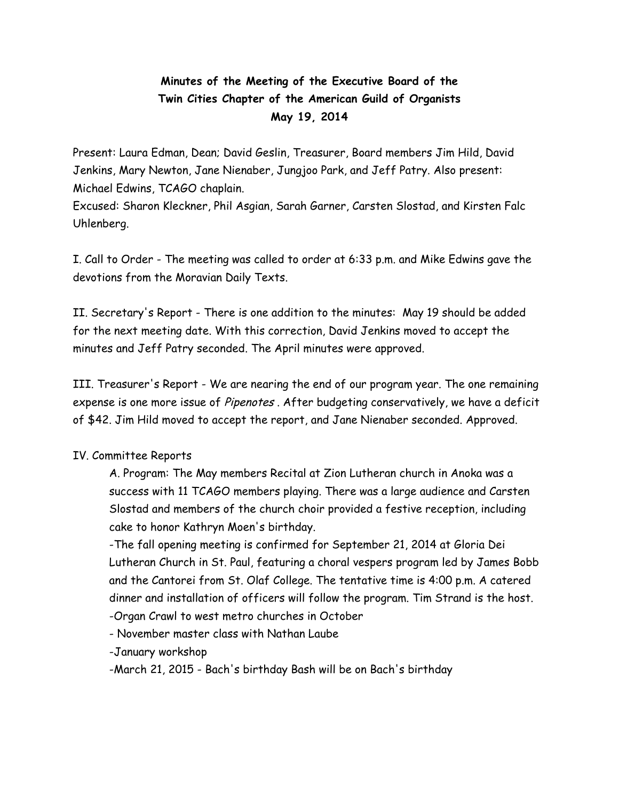## **Minutes of the Meeting of the Executive Board of the Twin Cities Chapter of the American Guild of Organists May 19, 2014**

Present: Laura Edman, Dean; David Geslin, Treasurer, Board members Jim Hild, David Jenkins, Mary Newton, Jane Nienaber, Jungjoo Park, and Jeff Patry. Also present: Michael Edwins, TCAGO chaplain.

Excused: Sharon Kleckner, Phil Asgian, Sarah Garner, Carsten Slostad, and Kirsten Falc Uhlenberg.

I. Call to Order - The meeting was called to order at 6:33 p.m. and Mike Edwins gave the devotions from the Moravian Daily Texts.

II. Secretary's Report - There is one addition to the minutes: May 19 should be added for the next meeting date. With this correction, David Jenkins moved to accept the minutes and Jeff Patry seconded. The April minutes were approved.

III. Treasurer's Report - We are nearing the end of our program year. The one remaining expense is one more issue of Pipenotes. After budgeting conservatively, we have a deficit of \$42. Jim Hild moved to accept the report, and Jane Nienaber seconded. Approved.

## IV. Committee Reports

A. Program: The May members Recital at Zion Lutheran church in Anoka was a success with 11 TCAGO members playing. There was a large audience and Carsten Slostad and members of the church choir provided a festive reception, including cake to honor Kathryn Moen's birthday.

-The fall opening meeting is confirmed for September 21, 2014 at Gloria Dei Lutheran Church in St. Paul, featuring a choral vespers program led by James Bobb and the Cantorei from St. Olaf College. The tentative time is 4:00 p.m. A catered dinner and installation of officers will follow the program. Tim Strand is the host. -Organ Crawl to west metro churches in October

- November master class with Nathan Laube

-January workshop

-March 21, 2015 - Bach's birthday Bash will be on Bach's birthday